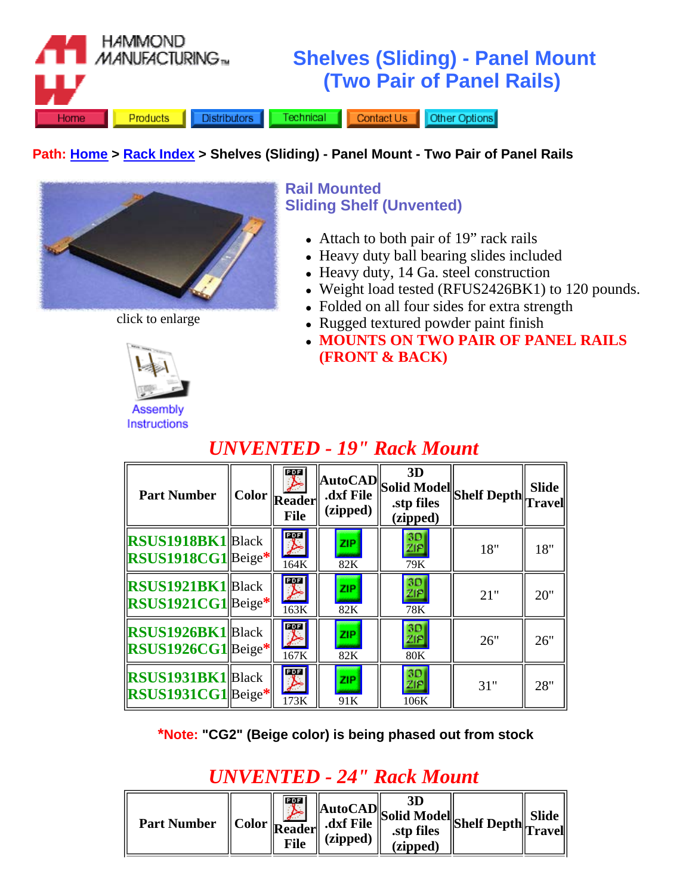

#### **Path: Home > Rack Index > Shelves (Sliding) - Panel Mount - Two Pair of Panel Rails**



**Rail Mounted Sliding Shelf (Unvented)**

- Attach to both pair of 19" rack rails
- Heavy duty ball bearing slides included
- Heavy duty, 14 Ga. steel construction
- Weight load tested (RFUS2426BK1) to 120 pounds.
- Folded on all four sides for extra strength
- Rugged textured powder paint finish
- <sup>z</sup> **MOUNTS ON TWO PAIR OF PANEL RAILS (FRONT & BACK)**



**Assembly Instructions** 

#### POF **3D AutoCAD Shelf Depth Slide Solid Model Part Number Color Reader .dxf File .stp files Travel (zipped) File (zipped)**  $\frac{3D}{ZIP}$ B<sub>a</sub>r **RSUS1918BK1**|Black **ZIP** 18" 18" **RSUS1918CG1** Beige**\***  $\overline{164K}$   $\overline{82K}$   $\overline{79K}$ **PDF** 30 **RSUS1921BK1**|Black Þ ZIP.  $ZIP$ 21" 20" **RSUS1921CG1** Beige**\*** 163K 82K 78K POF  $3D$ **RSUS1926BK1**|Black ZIP. **ZIP** 26" 26" **RSUS1926CG1** Beige**\***  $\overline{167K}$  |  $\overline{82K}$  |  $\overline{80K}$ POF  $rac{3D}{ZIP}$ **RSUS1931BK1**|Black **ZIP** 31" 28" **RSUS1931CG1** Beige**\***  $\overline{173K}$  |  $\overline{91K}$  |  $\overline{106K}$

### *UNVENTED - 19" Rack Mount*

**\*Note: "CG2" (Beige color) is being phased out from stock**

## *UNVENTED - 24" Rack Mount*

| <b>Part Number</b> |  | $\mathbf{L}_{\text{eff}}$<br>File | $\ \text{Color}\ _{\text{Reader}}\ $ dxf File<br>(zipped) | $\mathbb{R}$   AutoCAD Solid Model Shelf Depth $\mathbb{R}$ Trave <sup>r</sup><br>(zipped) |  |  |
|--------------------|--|-----------------------------------|-----------------------------------------------------------|--------------------------------------------------------------------------------------------|--|--|
|--------------------|--|-----------------------------------|-----------------------------------------------------------|--------------------------------------------------------------------------------------------|--|--|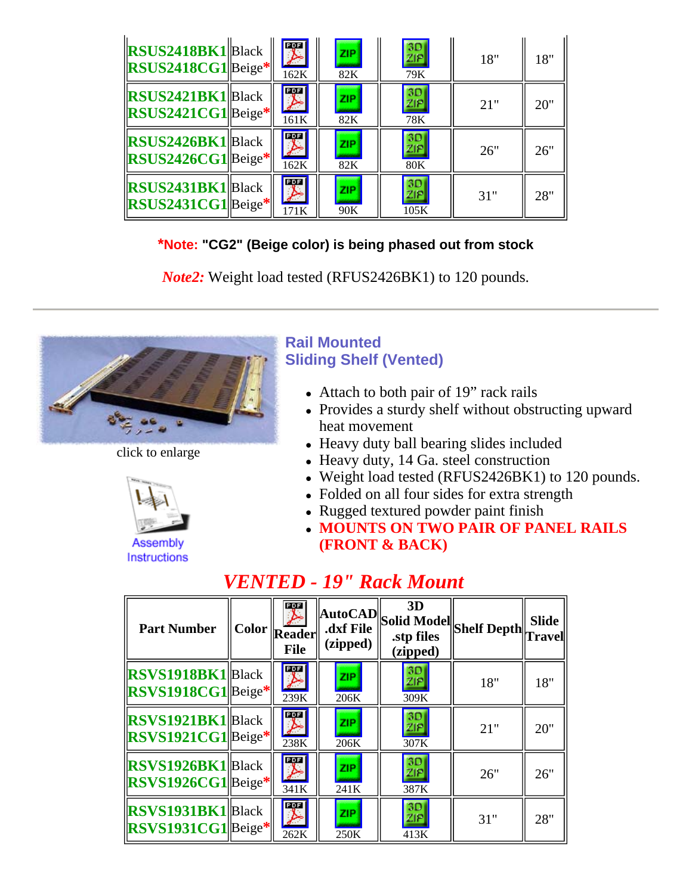| <b>RSUS2418BK1</b> Black<br>$\left $ RSUS2418CG1 $\right $ Beige* | 聖<br>162K                       | <b>ZIP</b><br>82K | 3D<br>ZIP<br>79K               | 18" | 18" |
|-------------------------------------------------------------------|---------------------------------|-------------------|--------------------------------|-----|-----|
| $ RSUS2421BK1 $ Black<br>$\left $ RSUS2421CG1 $\right $ Beige*    | 雾<br>161K                       | <b>ZIP</b><br>82K | 3D<br>ZIP<br>78K               | 21" | 20" |
| <b>RSUS2426BK1</b> Black<br>RSUS2426CG1Beige*                     | $\overline{\mathbb{Z}}$<br>162K | <b>ZIP</b><br>82K | 3D<br><u>ZIP</u><br><b>80K</b> | 26" | 26" |
| <b>RSUS2431BK1</b> Black<br>RSUS2431CG1Beige*                     | B <sub>a</sub> n<br>171K        | <b>ZIP</b><br>90K | 3D<br>ZIP<br>105K              | 31" | 28" |

### **\*Note: "CG2" (Beige color) is being phased out from stock**

*Note2:* Weight load tested (RFUS2426BK1) to 120 pounds.



click to enlarge



**Assembly Instructions** 

### **Rail Mounted Sliding Shelf (Vented)**

- $\bullet$  Attach to both pair of 19" rack rails
- Provides a sturdy shelf without obstructing upward heat movement
- Heavy duty ball bearing slides included
- Heavy duty, 14 Ga. steel construction
- Weight load tested (RFUS2426BK1) to 120 pounds.
- Folded on all four sides for extra strength
- Rugged textured powder paint finish
- <sup>z</sup> **MOUNTS ON TWO PAIR OF PANEL RAILS (FRONT & BACK)**

### *VENTED - 19" Rack Mount*

| <b>Part Number</b>                            | <b>Registra</b><br>$\vert$ Color $\vert$ Reader $\vert$<br><b>File</b> | (zipped)           | 3D<br>$\ \text{AutoCAD}\ $ Solid Model Shelf Depth $\ \text{Travel}\ $<br>(zipped) |     |     |
|-----------------------------------------------|------------------------------------------------------------------------|--------------------|------------------------------------------------------------------------------------|-----|-----|
| <b>RSVS1918BK1</b> Black<br>RSVS1918CG1Beige* | $\blacktriangleright$<br>239K                                          | <b>ZIP</b><br>206K | 3D<br>ZIP<br>309K                                                                  | 18" | 18" |
| <b>RSVS1921BK1</b> Black<br>RSVS1921CG1Beige* | $\blacktriangleright$<br>238K                                          | <b>ZIP</b><br>206K | 3D<br>ZIP<br>307K                                                                  | 21" | 20" |
| <b>RSVS1926BK1</b> Black<br>RSVS1926CG1Beige* | <b>PRE</b><br>341K                                                     | <b>ZIP</b><br>241K | 3D<br><b>ZIP</b><br>387K                                                           | 26" | 26" |
| <b>RSVS1931BK1</b> Black<br>RSVS1931CG1Beige* | $\blacktriangleright$<br>262K                                          | <b>ZIP</b><br>250K | 3D<br>ZIP<br>413K                                                                  | 31" | 28" |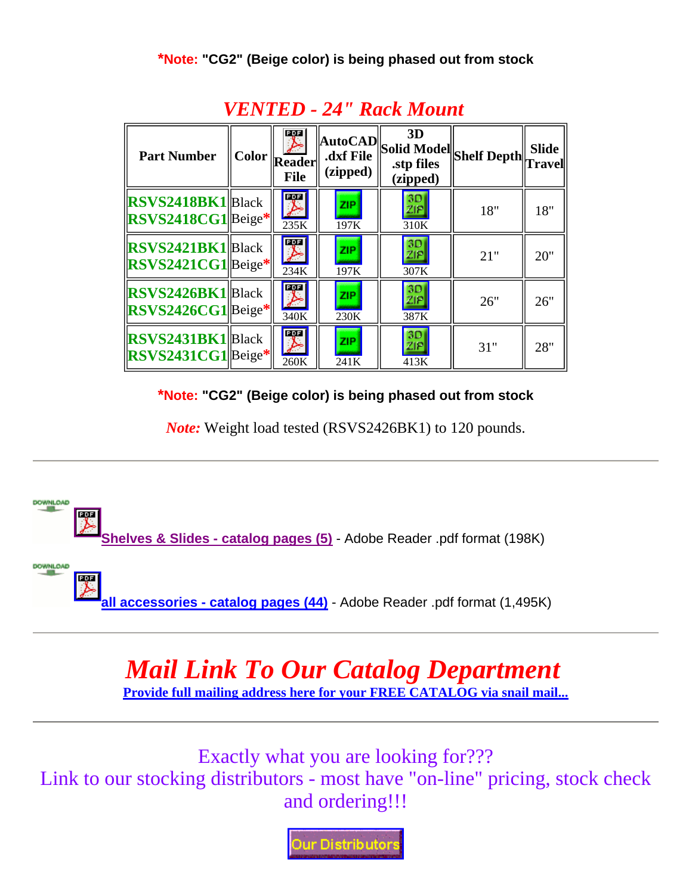| <b>Part Number</b>                                      | 霙<br>Color Reader<br><b>File</b> | (zipped)           | 3D<br>$\ \text{AutoCAD}\ $ Solid Model Shelf Depth $\ \text{Travel}\ $<br>(zipped) |     |     |
|---------------------------------------------------------|----------------------------------|--------------------|------------------------------------------------------------------------------------|-----|-----|
| <b>RSVS2418BK1</b> Black<br>RSVS2418CG1Beige*           | $\overline{\mathcal{F}}$<br>235K | <b>ZIP</b><br>197K | 30<br><b>ZIP</b><br>310K                                                           | 18" | 18" |
| $ RSVS2421BK1 $ Black<br>RSVS2421CG1Beige*              | $\overline{\mathcal{F}}$<br>234K | <b>ZIP</b><br>197K | 30<br><b>ZIP</b><br>307K                                                           | 21" | 20" |
| <b>RSVS2426BK1</b> Black<br>RSVS2426CG1Beige*           | $\overline{\mathcal{F}}$<br>340K | <b>ZIP</b><br>230K | 3D<br><b>ZIP</b><br>387K                                                           | 26" | 26" |
| <b>RSVS2431BK1</b> Black<br>$\left $ RSVS2431CG1 Beige* | $\overline{\mathcal{F}}$<br>260K | <b>ZIP</b><br>241K | 30<br>ZIP<br>413K                                                                  | 31" | 28" |

### *VENTED - 24" Rack Mount*

**\*Note: "CG2" (Beige color) is being phased out from stock**

*Note:* Weight load tested (RSVS2426BK1) to 120 pounds.



# *Mail Link To Our Catalog Department*

**Provide full mailing address here for your FREE CATALOG via snail mail...**

Exactly what you are looking for??? Link to our stocking distributors - most have "on-line" pricing, stock check and ordering!!!